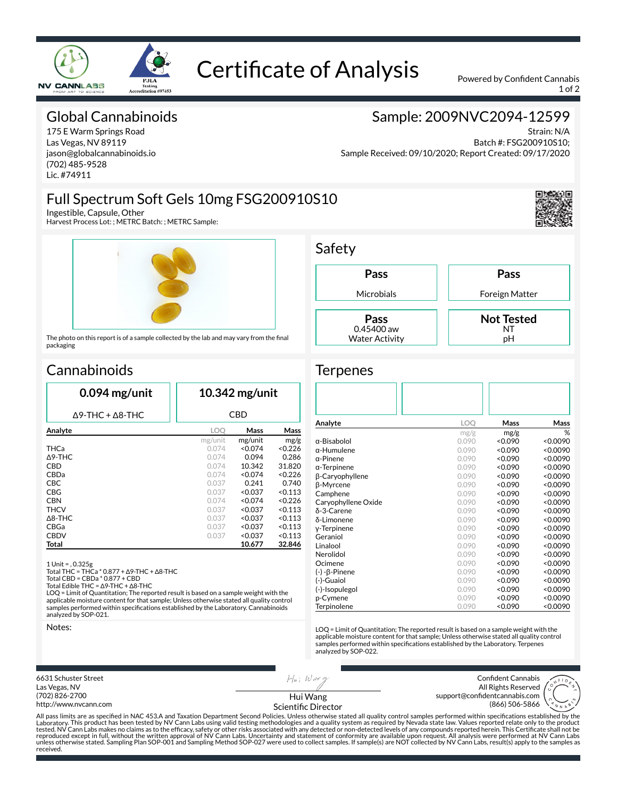

## Certificate of Analysis Powered by Confident Cannabis

1 of 2

### Global Cannabinoids

175 E Warm Springs Road Las Vegas, NV 89119 jason@globalcannabinoids.io (702) 485-9528 Lic. #74911

### Sample: 2009NVC2094-12599

Strain: N/A Batch #: FSG200910S10; Sample Received: 09/10/2020; Report Created: 09/17/2020

## Full Spectrum Soft Gels 10mg FSG200910S10

Ingestible, Capsule, Other

Harvest Process Lot: ; METRC Batch: ; METRC Sample:



The photo on this report is of a sample collected by the lab and may vary from the final packaging

## **Cannabinoids**

| LOO     |         |            |  |  |  |  |  |
|---------|---------|------------|--|--|--|--|--|
|         |         | <b>CBD</b> |  |  |  |  |  |
|         | Mass    | Mass       |  |  |  |  |  |
| mg/unit | mg/unit | mg/g       |  |  |  |  |  |
| 0.074   | < 0.074 | < 0.226    |  |  |  |  |  |
| 0.074   | 0.094   | 0.286      |  |  |  |  |  |
| 0.074   | 10.342  | 31.820     |  |  |  |  |  |
| 0.074   | < 0.074 | < 0.226    |  |  |  |  |  |
| 0.037   | 0.241   | 0.740      |  |  |  |  |  |
| 0.037   | < 0.037 | < 0.113    |  |  |  |  |  |
| 0.074   | < 0.074 | < 0.226    |  |  |  |  |  |
| 0.037   | < 0.037 | < 0.113    |  |  |  |  |  |
| 0.037   | < 0.037 | < 0.113    |  |  |  |  |  |
| 0.037   | < 0.037 | < 0.113    |  |  |  |  |  |
| 0.037   | < 0.037 | < 0.113    |  |  |  |  |  |
|         | 10.677  | 32.846     |  |  |  |  |  |
|         |         |            |  |  |  |  |  |

1 Unit = , 0.325g Total THC = THCa \* 0.877 + ∆9-THC + ∆8-THC

Total CBD = CBDa \* 0.877 + CBD

Total Edible THC = ∆9-THC + ∆8-THC LOQ = Limit of Quantitation; The reported result is based on a sample weight with the

applicable moisture content for that sample; Unless otherwise stated all quality control samples performed within specifications established by the Laboratory. Cannabinoids analyzed by SOP-021.

Notes:



LOQ = Limit of Quantitation; The reported result is based on a sample weight with the applicable moisture content for that sample; Unless otherwise stated all quality control<br>samples performed within specifications established by the Laboratory. Terpenes analyzed by SOP-022.

6631 Schuster Street Las Vegas, NV (702) 826-2700 http://www.nvcann.com  $H$ *u*;  $W$  ax  $g$ 

Confident Cannabis All Rights Reserved support@confidentcannabis.com (866) 506-5866



Hui Wang Scientific Director

All pass limits are as specified in NAC 453.A and Taxation Department Second Policies. Unless otherwise stated all quality control samples performed within specifications established by the<br>Laboratory. This product has bee tested. NV Cann Labs makes no claims as to the efficacy, safety or other risks associated with any detected or non-detected levels of any compounds reported herein. This Certificate shall not be<br>reproduced except in full, unless otherwise stated. Sampling Plan SOP-001 and Sampling Method SOP-027 were used to collect samples. If sample(s) are NOT collected by NV Cann Labs, result(s) apply to the samples as received.

## Safety

**Pass** Microbials **Pass**

> 0.45400 aw Water Activity

#### Foreign Matter **Not Tested** NT

**Pass**

pH

#### **Terpenes**